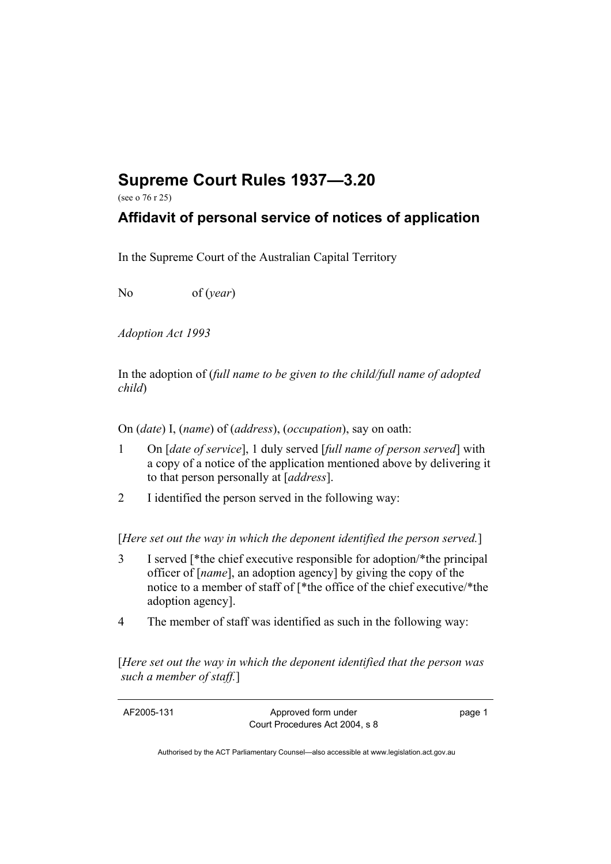## **Supreme Court Rules 1937—3.20**

(see o 76 r 25)

## **Affidavit of personal service of notices of application**

In the Supreme Court of the Australian Capital Territory

No of (*year*)

*Adoption Act 1993* 

In the adoption of (*full name to be given to the child/full name of adopted child*)

On (*date*) I, (*name*) of (*address*), (*occupation*), say on oath:

- 1 On [*date of service*], 1 duly served [*full name of person served*] with a copy of a notice of the application mentioned above by delivering it to that person personally at [*address*].
- 2 I identified the person served in the following way:

[*Here set out the way in which the deponent identified the person served.*]

- 3 I served [\*the chief executive responsible for adoption/\*the principal officer of [*name*], an adoption agency] by giving the copy of the notice to a member of staff of [\*the office of the chief executive/\*the adoption agency].
- 4 The member of staff was identified as such in the following way:

[*Here set out the way in which the deponent identified that the person was such a member of staff.*]

AF2005-131 Approved form under Court Procedures Act 2004, s 8 page 1

Authorised by the ACT Parliamentary Counsel—also accessible at www.legislation.act.gov.au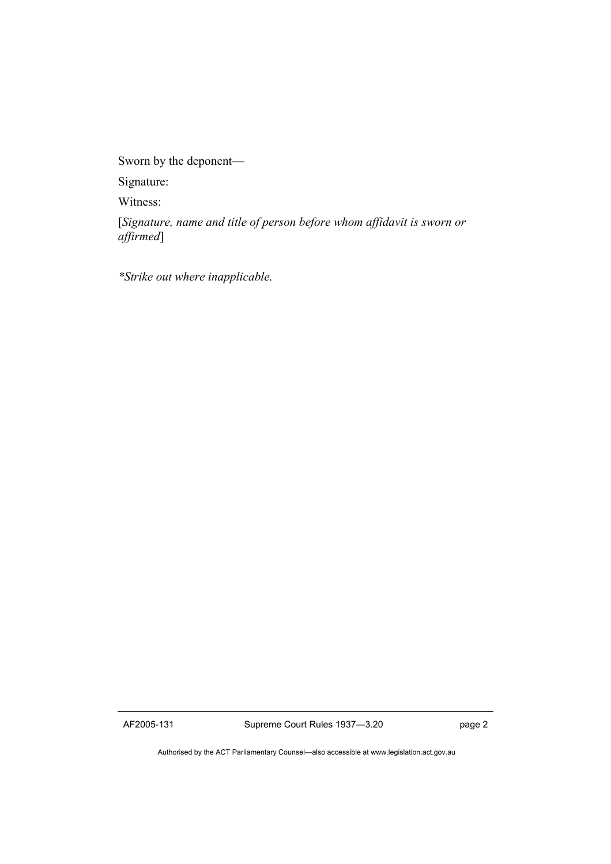Sworn by the deponent—

Signature:

Witness:

[*Signature, name and title of person before whom affidavit is sworn or affirmed*]

*\*Strike out where inapplicable.*

AF2005-131 Supreme Court Rules 1937—3.20 page 2

Authorised by the ACT Parliamentary Counsel—also accessible at www.legislation.act.gov.au